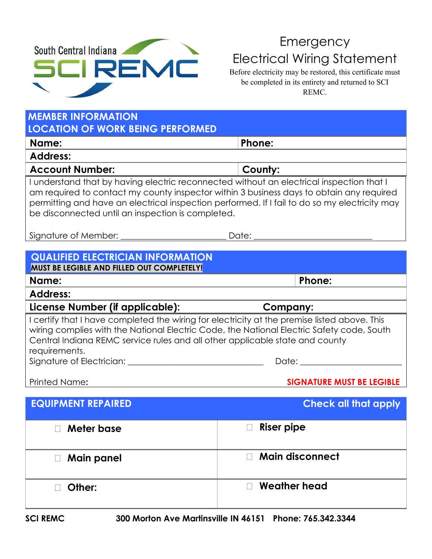

## Emergency Electrical Wiring Statement

Before electricity may be restored, this certificate must be completed in its entirety and returned to SCI REMC.

| <b>MEMBER INFORMATION</b><br><b>LOCATION OF WORK BEING PERFORMED</b>                                                                                                                                                                                                                                                                       |                                                                                                                                                                                                                                |  |  |  |
|--------------------------------------------------------------------------------------------------------------------------------------------------------------------------------------------------------------------------------------------------------------------------------------------------------------------------------------------|--------------------------------------------------------------------------------------------------------------------------------------------------------------------------------------------------------------------------------|--|--|--|
| Name:                                                                                                                                                                                                                                                                                                                                      | Phone:                                                                                                                                                                                                                         |  |  |  |
| <b>Address:</b>                                                                                                                                                                                                                                                                                                                            |                                                                                                                                                                                                                                |  |  |  |
| <b>Account Number:</b>                                                                                                                                                                                                                                                                                                                     | County:                                                                                                                                                                                                                        |  |  |  |
| I understand that by having electric reconnected without an electrical inspection that I<br>am required to contact my county inspector within 3 business days to obtain any required<br>permitting and have an electrical inspection performed. If I fail to do so my electricity may<br>be disconnected until an inspection is completed. |                                                                                                                                                                                                                                |  |  |  |
| Signature of Member:                                                                                                                                                                                                                                                                                                                       | Date:                                                                                                                                                                                                                          |  |  |  |
|                                                                                                                                                                                                                                                                                                                                            |                                                                                                                                                                                                                                |  |  |  |
| <b>QUALIFIED ELECTRICIAN INFORMATION</b><br>MUST BE LEGIBLE AND FILLED OUT COMPLETELY!                                                                                                                                                                                                                                                     |                                                                                                                                                                                                                                |  |  |  |
| Name:                                                                                                                                                                                                                                                                                                                                      | Phone:                                                                                                                                                                                                                         |  |  |  |
| <b>Address:</b>                                                                                                                                                                                                                                                                                                                            |                                                                                                                                                                                                                                |  |  |  |
| License Number (if applicable):                                                                                                                                                                                                                                                                                                            | <b>Company:</b>                                                                                                                                                                                                                |  |  |  |
| I certify that I have completed the wiring for electricity at the premise listed above. This<br>wiring complies with the National Electric Code, the National Electric Safety code, South<br>Central Indiana REMC service rules and all other applicable state and county<br>requirements.                                                 |                                                                                                                                                                                                                                |  |  |  |
|                                                                                                                                                                                                                                                                                                                                            | Date: the contract of the contract of the contract of the contract of the contract of the contract of the contract of the contract of the contract of the contract of the contract of the contract of the contract of the cont |  |  |  |
| <b>Printed Name:</b>                                                                                                                                                                                                                                                                                                                       | <b>SIGNATURE MUST BE LEGIBLE</b>                                                                                                                                                                                               |  |  |  |
| <b>EQUIPMENT REPAIRED</b>                                                                                                                                                                                                                                                                                                                  | <b>Check all that apply</b>                                                                                                                                                                                                    |  |  |  |
| Meter base                                                                                                                                                                                                                                                                                                                                 | Riser pipe                                                                                                                                                                                                                     |  |  |  |
| <b>Main panel</b>                                                                                                                                                                                                                                                                                                                          | <b>Main disconnect</b>                                                                                                                                                                                                         |  |  |  |
| Other:                                                                                                                                                                                                                                                                                                                                     | <b>Weather head</b>                                                                                                                                                                                                            |  |  |  |